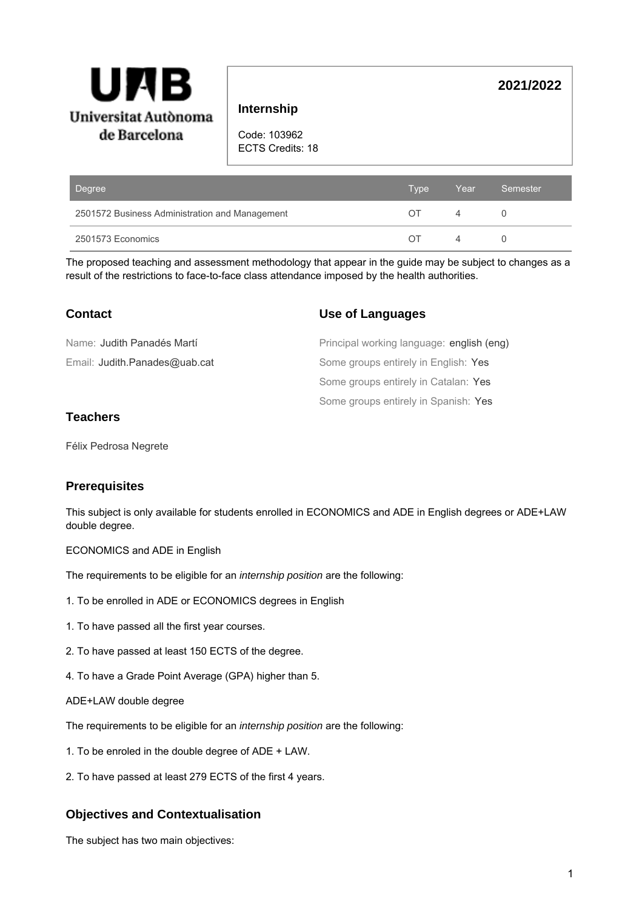

## **Internship**

Code: 103962

ECTS Credits: 18

| Degree                                         | Type | Year.    | Semester |
|------------------------------------------------|------|----------|----------|
| 2501572 Business Administration and Management | OT   | 4        |          |
| 2501573 Economics                              | ∩⊤   | $\Delta$ |          |

The proposed teaching and assessment methodology that appear in the guide may be subject to changes as a result of the restrictions to face-to-face class attendance imposed by the health authorities.

# **Contact**

## **Use of Languages**

 $(eng)$ 

**2021/2022**

| Name: Judith Panadés Martí    | Principal working language: english (e |
|-------------------------------|----------------------------------------|
| Email: Judith.Panades@uab.cat | Some groups entirely in English: Yes   |
|                               | Some groups entirely in Catalan: Yes   |
|                               | Some groups entirely in Spanish: Yes   |

## **Teachers**

Félix Pedrosa Negrete

# **Prerequisites**

This subject is only available for students enrolled in ECONOMICS and ADE in English degrees or ADE+LAW double degree.

ECONOMICS and ADE in English

The requirements to be eligible for an *internship position* are the following:

- 1. To be enrolled in ADE or ECONOMICS degrees in English
- 1. To have passed all the first year courses.
- 2. To have passed at least 150 ECTS of the degree.
- 4. To have a Grade Point Average (GPA) higher than 5.
- ADE+LAW double degree

The requirements to be eligible for an internship position are the following:

- 1. To be enroled in the double degree of ADE + LAW.
- 2. To have passed at least 279 ECTS of the first 4 years.

# **Objectives and Contextualisation**

The subject has two main objectives: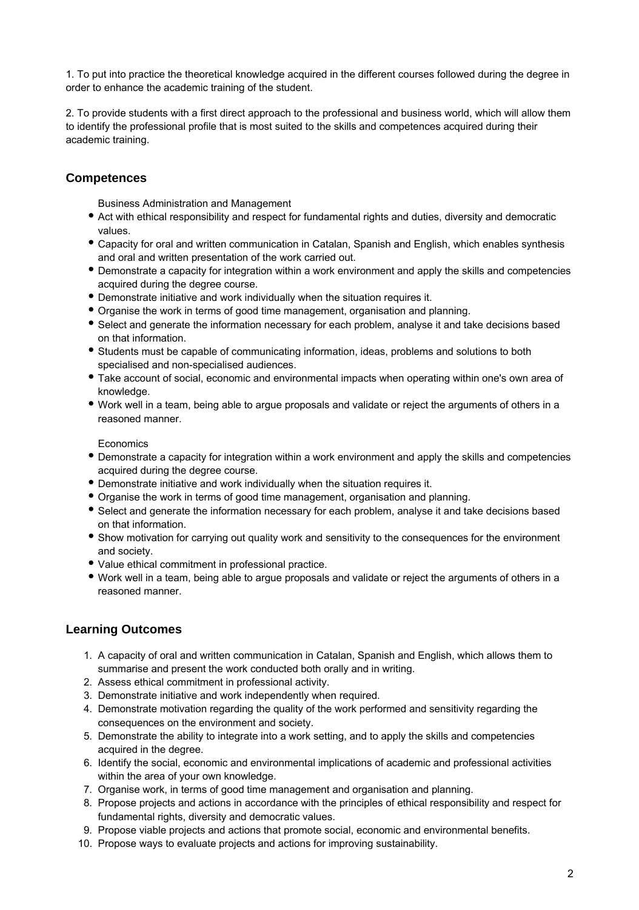1. To put into practice the theoretical knowledge acquired in the different courses followed during the degree in order to enhance the academic training of the student.

2. To provide students with a first direct approach to the professional and business world, which will allow them to identify the professional profile that is most suited to the skills and competences acquired during their academic training.

# **Competences**

Business Administration and Management

- Act with ethical responsibility and respect for fundamental rights and duties, diversity and democratic values.
- Capacity for oral and written communication in Catalan, Spanish and English, which enables synthesis and oral and written presentation of the work carried out.
- Demonstrate a capacity for integration within a work environment and apply the skills and competencies acquired during the degree course.
- Demonstrate initiative and work individually when the situation requires it.
- Organise the work in terms of good time management, organisation and planning.
- Select and generate the information necessary for each problem, analyse it and take decisions based on that information.
- Students must be capable of communicating information, ideas, problems and solutions to both specialised and non-specialised audiences.
- Take account of social, economic and environmental impacts when operating within one's own area of knowledge.
- Work well in a team, being able to argue proposals and validate or reject the arguments of others in a reasoned manner.

**Economics** 

- Demonstrate a capacity for integration within a work environment and apply the skills and competencies acquired during the degree course.
- Demonstrate initiative and work individually when the situation requires it.
- Organise the work in terms of good time management, organisation and planning.
- Select and generate the information necessary for each problem, analyse it and take decisions based on that information.
- Show motivation for carrying out quality work and sensitivity to the consequences for the environment and society.
- Value ethical commitment in professional practice.
- Work well in a team, being able to argue proposals and validate or reject the arguments of others in a reasoned manner.

### **Learning Outcomes**

- 1. A capacity of oral and written communication in Catalan, Spanish and English, which allows them to summarise and present the work conducted both orally and in writing.
- 2. Assess ethical commitment in professional activity.
- 3. Demonstrate initiative and work independently when required.
- 4. Demonstrate motivation regarding the quality of the work performed and sensitivity regarding the consequences on the environment and society.
- 5. Demonstrate the ability to integrate into a work setting, and to apply the skills and competencies acquired in the degree.
- 6. Identify the social, economic and environmental implications of academic and professional activities within the area of your own knowledge.
- 7. Organise work, in terms of good time management and organisation and planning.
- 8. Propose projects and actions in accordance with the principles of ethical responsibility and respect for fundamental rights, diversity and democratic values.
- 9. Propose viable projects and actions that promote social, economic and environmental benefits.
- 10. Propose ways to evaluate projects and actions for improving sustainability.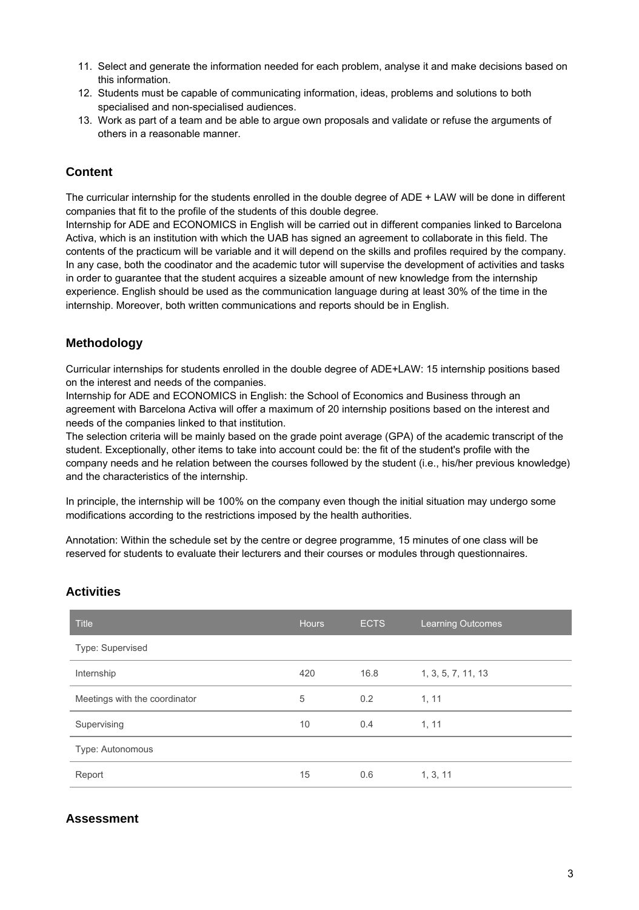- 11. Select and generate the information needed for each problem, analyse it and make decisions based on this information.
- 12. Students must be capable of communicating information, ideas, problems and solutions to both specialised and non-specialised audiences.
- 13. Work as part of a team and be able to argue own proposals and validate or refuse the arguments of others in a reasonable manner.

# **Content**

The curricular internship for the students enrolled in the double degree of ADE + LAW will be done in different companies that fit to the profile of the students of this double degree.

Internship for ADE and ECONOMICS in English will be carried out in different companies linked to Barcelona Activa, which is an institution with which the UAB has signed an agreement to collaborate in this field. The contents of the practicum will be variable and it will depend on the skills and profiles required by the company. In any case, both the coodinator and the academic tutor will supervise the development of activities and tasks in order to guarantee that the student acquires a sizeable amount of new knowledge from the internship experience. English should be used as the communication language during at least 30% of the time in the internship. Moreover, both written communications and reports should be in English.

## **Methodology**

Curricular internships for students enrolled in the double degree of ADE+LAW: 15 internship positions based on the interest and needs of the companies.

Internship for ADE and ECONOMICS in English: the School of Economics and Business through an agreement with Barcelona Activa will offer a maximum of 20 internship positions based on the interest and needs of the companies linked to that institution.

The selection criteria will be mainly based on the grade point average (GPA) of the academic transcript of the student. Exceptionally, other items to take into account could be: the fit of the student's profile with the company needs and he relation between the courses followed by the student (i.e., his/her previous knowledge) and the characteristics of the internship.

In principle, the internship will be 100% on the company even though the initial situation may undergo some modifications according to the restrictions imposed by the health authorities.

Annotation: Within the schedule set by the centre or degree programme, 15 minutes of one class will be reserved for students to evaluate their lecturers and their courses or modules through questionnaires.

### **Activities**

| <b>Title</b>                  | <b>Hours</b> | <b>ECTS</b> | <b>Learning Outcomes</b> |
|-------------------------------|--------------|-------------|--------------------------|
| Type: Supervised              |              |             |                          |
| Internship                    | 420          | 16.8        | 1, 3, 5, 7, 11, 13       |
| Meetings with the coordinator | 5            | 0.2         | 1, 11                    |
| Supervising                   | 10           | 0.4         | 1, 11                    |
| Type: Autonomous              |              |             |                          |
| Report                        | 15           | 0.6         | 1, 3, 11                 |

# **Assessment**